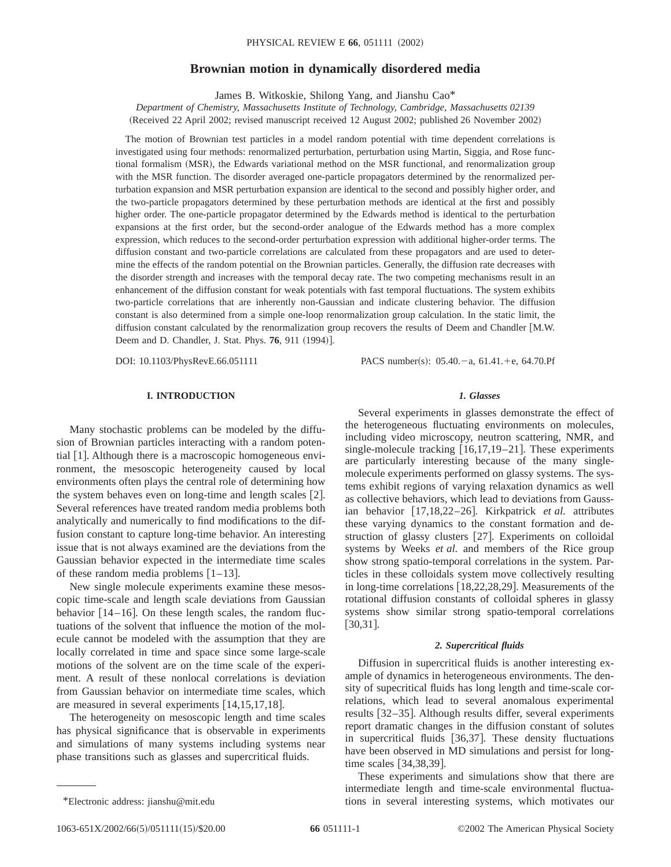# **Brownian motion in dynamically disordered media**

James B. Witkoskie, Shilong Yang, and Jianshu Cao\*

*Department of Chemistry, Massachusetts Institute of Technology, Cambridge, Massachusetts 02139* (Received 22 April 2002; revised manuscript received 12 August 2002; published 26 November 2002)

The motion of Brownian test particles in a model random potential with time dependent correlations is investigated using four methods: renormalized perturbation, perturbation using Martin, Siggia, and Rose functional formalism (MSR), the Edwards variational method on the MSR functional, and renormalization group with the MSR function. The disorder averaged one-particle propagators determined by the renormalized perturbation expansion and MSR perturbation expansion are identical to the second and possibly higher order, and the two-particle propagators determined by these perturbation methods are identical at the first and possibly higher order. The one-particle propagator determined by the Edwards method is identical to the perturbation expansions at the first order, but the second-order analogue of the Edwards method has a more complex expression, which reduces to the second-order perturbation expression with additional higher-order terms. The diffusion constant and two-particle correlations are calculated from these propagators and are used to determine the effects of the random potential on the Brownian particles. Generally, the diffusion rate decreases with the disorder strength and increases with the temporal decay rate. The two competing mechanisms result in an enhancement of the diffusion constant for weak potentials with fast temporal fluctuations. The system exhibits two-particle correlations that are inherently non-Gaussian and indicate clustering behavior. The diffusion constant is also determined from a simple one-loop renormalization group calculation. In the static limit, the diffusion constant calculated by the renormalization group recovers the results of Deem and Chandler [M.W. Deem and D. Chandler, J. Stat. Phys. **76**, 911 (1994)].

DOI: 10.1103/PhysRevE.66.051111 PACS number(s): 05.40. - a, 61.41. + e, 64.70. Pf

# **I. INTRODUCTION**

Many stochastic problems can be modeled by the diffusion of Brownian particles interacting with a random potential  $[1]$ . Although there is a macroscopic homogeneous environment, the mesoscopic heterogeneity caused by local environments often plays the central role of determining how the system behaves even on long-time and length scales  $[2]$ . Several references have treated random media problems both analytically and numerically to find modifications to the diffusion constant to capture long-time behavior. An interesting issue that is not always examined are the deviations from the Gaussian behavior expected in the intermediate time scales of these random media problems  $[1-13]$ .

New single molecule experiments examine these mesoscopic time-scale and length scale deviations from Gaussian behavior  $[14–16]$ . On these length scales, the random fluctuations of the solvent that influence the motion of the molecule cannot be modeled with the assumption that they are locally correlated in time and space since some large-scale motions of the solvent are on the time scale of the experiment. A result of these nonlocal correlations is deviation from Gaussian behavior on intermediate time scales, which are measured in several experiments  $[14,15,17,18]$ .

The heterogeneity on mesoscopic length and time scales has physical significance that is observable in experiments and simulations of many systems including systems near phase transitions such as glasses and supercritical fluids.

## *1. Glasses*

Several experiments in glasses demonstrate the effect of the heterogeneous fluctuating environments on molecules, including video microscopy, neutron scattering, NMR, and single-molecule tracking  $[16,17,19-21]$ . These experiments are particularly interesting because of the many singlemolecule experiments performed on glassy systems. The systems exhibit regions of varying relaxation dynamics as well as collective behaviors, which lead to deviations from Gaussian behavior [17,18,22–26]. Kirkpatrick *et al.* attributes these varying dynamics to the constant formation and destruction of glassy clusters [27]. Experiments on colloidal systems by Weeks *et al.* and members of the Rice group show strong spatio-temporal correlations in the system. Particles in these colloidals system move collectively resulting in long-time correlations  $[18,22,28,29]$ . Measurements of the rotational diffusion constants of colloidal spheres in glassy systems show similar strong spatio-temporal correlations  $[30,31]$ .

# *2. Supercritical fluids*

Diffusion in supercritical fluids is another interesting example of dynamics in heterogeneous environments. The density of supecritical fluids has long length and time-scale correlations, which lead to several anomalous experimental results  $\left[32-35\right]$ . Although results differ, several experiments report dramatic changes in the diffusion constant of solutes in supercritical fluids  $[36,37]$ . These density fluctuations have been observed in MD simulations and persist for longtime scales  $[34,38,39]$ .

These experiments and simulations show that there are intermediate length and time-scale environmental fluctua- \*Electronic address: jianshu@mit.edu tions in several interesting systems, which motivates our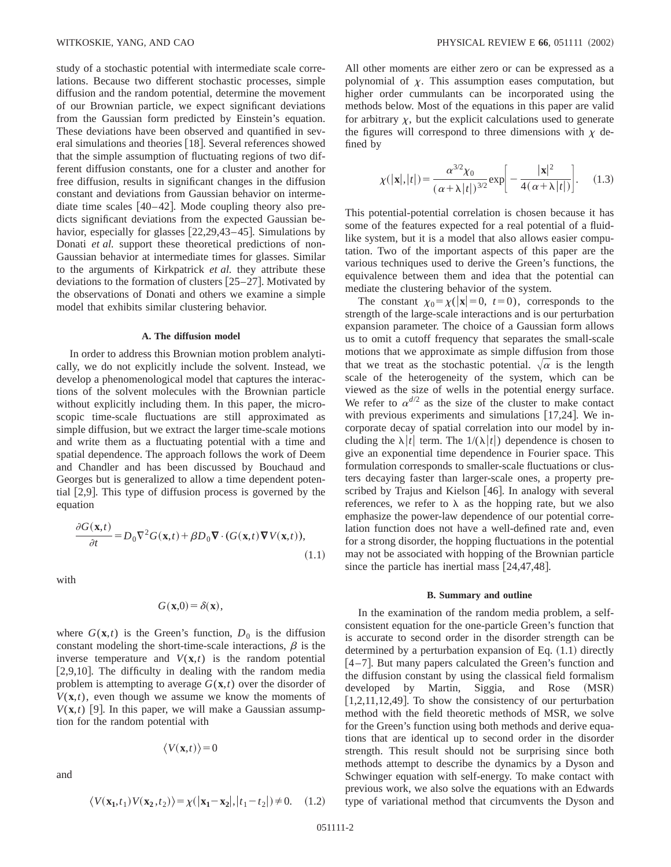study of a stochastic potential with intermediate scale correlations. Because two different stochastic processes, simple diffusion and the random potential, determine the movement of our Brownian particle, we expect significant deviations from the Gaussian form predicted by Einstein's equation. These deviations have been observed and quantified in several simulations and theories  $[18]$ . Several references showed that the simple assumption of fluctuating regions of two different diffusion constants, one for a cluster and another for free diffusion, results in significant changes in the diffusion constant and deviations from Gaussian behavior on intermediate time scales  $[40-42]$ . Mode coupling theory also predicts significant deviations from the expected Gaussian behavior, especially for glasses  $[22,29,43-45]$ . Simulations by Donati *et al.* support these theoretical predictions of non-Gaussian behavior at intermediate times for glasses. Similar to the arguments of Kirkpatrick *et al.* they attribute these deviations to the formation of clusters  $[25-27]$ . Motivated by the observations of Donati and others we examine a simple model that exhibits similar clustering behavior.

## **A. The diffusion model**

In order to address this Brownian motion problem analytically, we do not explicitly include the solvent. Instead, we develop a phenomenological model that captures the interactions of the solvent molecules with the Brownian particle without explicitly including them. In this paper, the microscopic time-scale fluctuations are still approximated as simple diffusion, but we extract the larger time-scale motions and write them as a fluctuating potential with a time and spatial dependence. The approach follows the work of Deem and Chandler and has been discussed by Bouchaud and Georges but is generalized to allow a time dependent potential  $[2,9]$ . This type of diffusion process is governed by the equation

$$
\frac{\partial G(\mathbf{x},t)}{\partial t} = D_0 \nabla^2 G(\mathbf{x},t) + \beta D_0 \nabla \cdot (G(\mathbf{x},t) \nabla V(\mathbf{x},t)),
$$
\n(1.1)

with

$$
G(\mathbf{x},0) = \delta(\mathbf{x}),
$$

where  $G(\mathbf{x},t)$  is the Green's function,  $D_0$  is the diffusion constant modeling the short-time-scale interactions,  $\beta$  is the inverse temperature and  $V(\mathbf{x},t)$  is the random potential  $[2,9,10]$ . The difficulty in dealing with the random media problem is attempting to average  $G(\mathbf{x},t)$  over the disorder of  $V(\mathbf{x},t)$ , even though we assume we know the moments of  $V(\mathbf{x},t)$  [9]. In this paper, we will make a Gaussian assumption for the random potential with

$$
\langle V(\mathbf{x},t)\rangle = 0
$$

and

$$
\langle V(\mathbf{x_1}, t_1) V(\mathbf{x_2}, t_2) \rangle = \chi(|\mathbf{x_1} - \mathbf{x_2}|, |t_1 - t_2|) \neq 0. \quad (1.2)
$$

All other moments are either zero or can be expressed as a polynomial of  $\chi$ . This assumption eases computation, but higher order cummulants can be incorporated using the methods below. Most of the equations in this paper are valid for arbitrary  $\chi$ , but the explicit calculations used to generate the figures will correspond to three dimensions with  $\chi$  defined by

$$
\chi(|\mathbf{x}|,|t|) = \frac{\alpha^{3/2}\chi_0}{(\alpha + \lambda|t|)^{3/2}} \exp\bigg[-\frac{|\mathbf{x}|^2}{4(\alpha + \lambda|t|)}\bigg].\tag{1.3}
$$

This potential-potential correlation is chosen because it has some of the features expected for a real potential of a fluidlike system, but it is a model that also allows easier computation. Two of the important aspects of this paper are the various techniques used to derive the Green's functions, the equivalence between them and idea that the potential can mediate the clustering behavior of the system.

The constant  $\chi_0 = \chi(|\mathbf{x}| = 0, t = 0)$ , corresponds to the strength of the large-scale interactions and is our perturbation expansion parameter. The choice of a Gaussian form allows us to omit a cutoff frequency that separates the small-scale motions that we approximate as simple diffusion from those that we treat as the stochastic potential.  $\sqrt{\alpha}$  is the length scale of the heterogeneity of the system, which can be viewed as the size of wells in the potential energy surface. We refer to  $\alpha^{d/2}$  as the size of the cluster to make contact with previous experiments and simulations  $[17,24]$ . We incorporate decay of spatial correlation into our model by including the  $\lambda |t|$  term. The  $1/(\lambda |t|)$  dependence is chosen to give an exponential time dependence in Fourier space. This formulation corresponds to smaller-scale fluctuations or clusters decaying faster than larger-scale ones, a property prescribed by Trajus and Kielson  $[46]$ . In analogy with several references, we refer to  $\lambda$  as the hopping rate, but we also emphasize the power-law dependence of our potential correlation function does not have a well-defined rate and, even for a strong disorder, the hopping fluctuations in the potential may not be associated with hopping of the Brownian particle since the particle has inertial mass  $[24,47,48]$ .

### **B. Summary and outline**

In the examination of the random media problem, a selfconsistent equation for the one-particle Green's function that is accurate to second order in the disorder strength can be determined by a perturbation expansion of Eq.  $(1.1)$  directly  $[4-7]$ . But many papers calculated the Green's function and the diffusion constant by using the classical field formalism developed by Martin, Siggia, and Rose (MSR)  $[1,2,11,12,49]$ . To show the consistency of our perturbation method with the field theoretic methods of MSR, we solve for the Green's function using both methods and derive equations that are identical up to second order in the disorder strength. This result should not be surprising since both methods attempt to describe the dynamics by a Dyson and Schwinger equation with self-energy. To make contact with previous work, we also solve the equations with an Edwards type of variational method that circumvents the Dyson and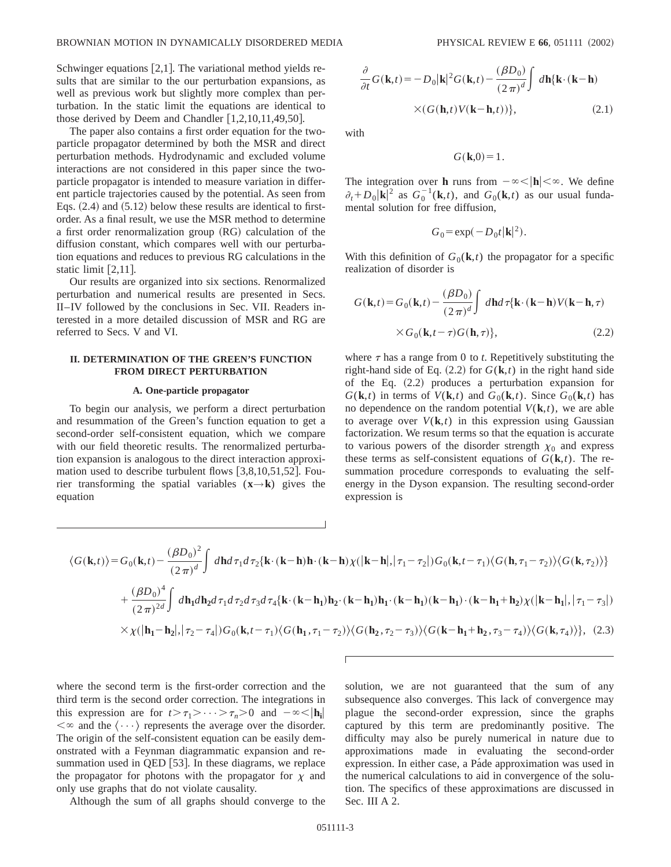Schwinger equations  $[2,1]$ . The variational method yields results that are similar to the our perturbation expansions, as well as previous work but slightly more complex than perturbation. In the static limit the equations are identical to those derived by Deem and Chandler  $[1,2,10,11,49,50]$ .

The paper also contains a first order equation for the twoparticle propagator determined by both the MSR and direct perturbation methods. Hydrodynamic and excluded volume interactions are not considered in this paper since the twoparticle propagator is intended to measure variation in different particle trajectories caused by the potential. As seen from Eqs.  $(2.4)$  and  $(5.12)$  below these results are identical to firstorder. As a final result, we use the MSR method to determine a first order renormalization group  $(RG)$  calculation of the diffusion constant, which compares well with our perturbation equations and reduces to previous RG calculations in the static limit  $[2,11]$ .

Our results are organized into six sections. Renormalized perturbation and numerical results are presented in Secs. II–IV followed by the conclusions in Sec. VII. Readers interested in a more detailed discussion of MSR and RG are referred to Secs. V and VI.

# **II. DETERMINATION OF THE GREEN'S FUNCTION FROM DIRECT PERTURBATION**

## **A. One-particle propagator**

To begin our analysis, we perform a direct perturbation and resummation of the Green's function equation to get a second-order self-consistent equation, which we compare with our field theoretic results. The renormalized perturbation expansion is analogous to the direct interaction approximation used to describe turbulent flows  $[3,8,10,51,52]$ . Fourier transforming the spatial variables (**x**→**k**) gives the equation

$$
\frac{\partial}{\partial t}G(\mathbf{k},t) = -D_0|\mathbf{k}|^2 G(\mathbf{k},t) - \frac{(\beta D_0)}{(2\pi)^d} \int d\mathbf{h}\{\mathbf{k}\cdot(\mathbf{k}-\mathbf{h})
$$

$$
\times (G(\mathbf{h},t)V(\mathbf{k}-\mathbf{h},t))\},\tag{2.1}
$$

with

$$
G(\mathbf{k},0)=1.
$$

The integration over **h** runs from  $-\infty < |{\bf h}| < \infty$ . We define  $\partial_t$ + $D_0$ |**k**|<sup>2</sup> as  $G_0^{-1}$ (**k**,*t*), and  $G_0$ (**k**,*t*) as our usual fundamental solution for free diffusion,

$$
G_0 = \exp(-D_0 t |\mathbf{k}|^2).
$$

With this definition of  $G_0(\mathbf{k}, t)$  the propagator for a specific realization of disorder is

$$
G(\mathbf{k},t) = G_0(\mathbf{k},t) - \frac{(\beta D_0)}{(2\pi)^d} \int d\mathbf{h} d\tau \{ \mathbf{k} \cdot (\mathbf{k} - \mathbf{h}) V(\mathbf{k} - \mathbf{h},\tau) \times G_0(\mathbf{k},t-\tau) G(\mathbf{h},\tau) \},
$$
\n(2.2)

where  $\tau$  has a range from 0 to *t*. Repetitively substituting the right-hand side of Eq.  $(2.2)$  for  $G(\mathbf{k},t)$  in the right hand side of the Eq.  $(2.2)$  produces a perturbation expansion for  $G(\mathbf{k},t)$  in terms of  $V(\mathbf{k},t)$  and  $G_0(\mathbf{k},t)$ . Since  $G_0(\mathbf{k},t)$  has no dependence on the random potential  $V(\mathbf{k},t)$ , we are able to average over  $V(\mathbf{k},t)$  in this expression using Gaussian factorization. We resum terms so that the equation is accurate to various powers of the disorder strength  $\chi_0$  and express these terms as self-consistent equations of  $G(\mathbf{k},t)$ . The resummation procedure corresponds to evaluating the selfenergy in the Dyson expansion. The resulting second-order expression is

$$
\langle G(\mathbf{k},t) \rangle = G_0(\mathbf{k},t) - \frac{(\beta D_0)^2}{(2\pi)^d} \int d\mathbf{h} d\tau_1 d\tau_2 \{ \mathbf{k} \cdot (\mathbf{k} - \mathbf{h}) \mathbf{h} \cdot (\mathbf{k} - \mathbf{h}) \chi(|\mathbf{k} - \mathbf{h}|, |\tau_1 - \tau_2|) G_0(\mathbf{k},t - \tau_1) \langle G(\mathbf{h},\tau_1 - \tau_2) \rangle \langle G(\mathbf{k},\tau_2) \rangle \}
$$
  
+ 
$$
\frac{(\beta D_0)^4}{(2\pi)^{2d}} \int d\mathbf{h}_1 d\mathbf{h}_2 d\tau_1 d\tau_2 d\tau_3 d\tau_4 \{ \mathbf{k} \cdot (\mathbf{k} - \mathbf{h}_1) \mathbf{h}_2 \cdot (\mathbf{k} - \mathbf{h}_1) \mathbf{h}_1 \cdot (\mathbf{k} - \mathbf{h}_1) (\mathbf{k} - \mathbf{h}_1) \cdot (\mathbf{k} - \mathbf{h}_1 + \mathbf{h}_2) \chi(|\mathbf{k} - \mathbf{h}_1|, |\tau_1 - \tau_3|) \times \chi(|\mathbf{h}_1 - \mathbf{h}_2|, |\tau_2 - \tau_4|) G_0(\mathbf{k},t - \tau_1) \langle G(\mathbf{h}_1, \tau_1 - \tau_2) \rangle \langle G(\mathbf{h}_2, \tau_2 - \tau_3) \rangle \langle G(\mathbf{k} - \mathbf{h}_1 + \mathbf{h}_2, \tau_3 - \tau_4) \rangle \langle G(\mathbf{k}, \tau_4) \rangle \}, (2.3)
$$

where the second term is the first-order correction and the third term is the second order correction. The integrations in this expression are for  $t > \tau_1 > \cdots > \tau_n > 0$  and  $-\infty < |{\bf h}_i|$  $\langle \infty \rangle$  and the  $\langle \cdots \rangle$  represents the average over the disorder. The origin of the self-consistent equation can be easily demonstrated with a Feynman diagrammatic expansion and resummation used in QED [53]. In these diagrams, we replace the propagator for photons with the propagator for  $\chi$  and only use graphs that do not violate causality.

Although the sum of all graphs should converge to the

solution, we are not guaranteed that the sum of any subsequence also converges. This lack of convergence may plague the second-order expression, since the graphs captured by this term are predominantly positive. The difficulty may also be purely numerical in nature due to approximations made in evaluating the second-order expression. In either case, a Páde approximation was used in the numerical calculations to aid in convergence of the solution. The specifics of these approximations are discussed in Sec. III A 2.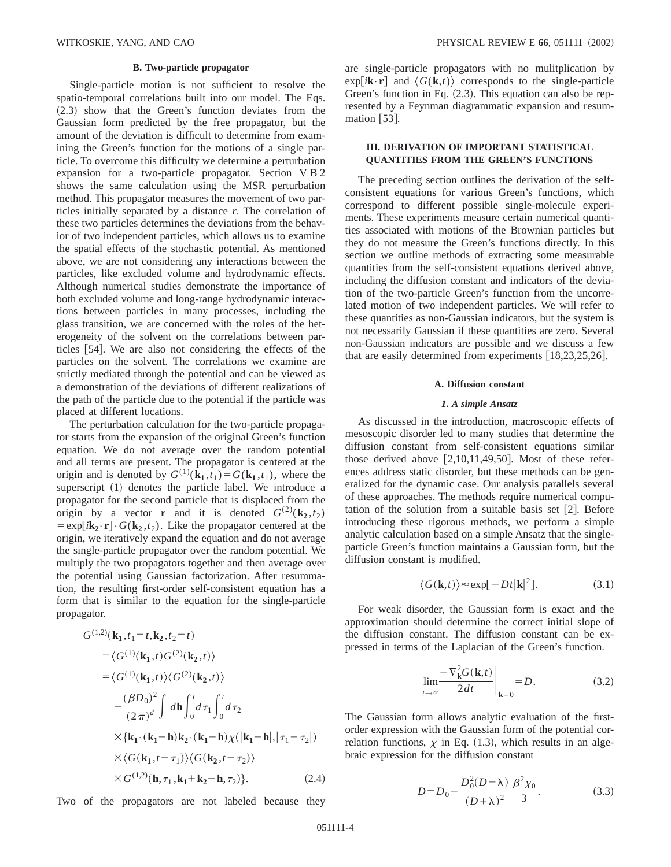### **B. Two-particle propagator**

Single-particle motion is not sufficient to resolve the spatio-temporal correlations built into our model. The Eqs.  $(2.3)$  show that the Green's function deviates from the Gaussian form predicted by the free propagator, but the amount of the deviation is difficult to determine from examining the Green's function for the motions of a single particle. To overcome this difficulty we determine a perturbation expansion for a two-particle propagator. Section V B 2 shows the same calculation using the MSR perturbation method. This propagator measures the movement of two particles initially separated by a distance *r*. The correlation of these two particles determines the deviations from the behavior of two independent particles, which allows us to examine the spatial effects of the stochastic potential. As mentioned above, we are not considering any interactions between the particles, like excluded volume and hydrodynamic effects. Although numerical studies demonstrate the importance of both excluded volume and long-range hydrodynamic interactions between particles in many processes, including the glass transition, we are concerned with the roles of the heterogeneity of the solvent on the correlations between particles [54]. We are also not considering the effects of the particles on the solvent. The correlations we examine are strictly mediated through the potential and can be viewed as a demonstration of the deviations of different realizations of the path of the particle due to the potential if the particle was placed at different locations.

The perturbation calculation for the two-particle propagator starts from the expansion of the original Green's function equation. We do not average over the random potential and all terms are present. The propagator is centered at the origin and is denoted by  $G^{(1)}(\mathbf{k}_1, t_1) = G(\mathbf{k}_1, t_1)$ , where the superscript  $(1)$  denotes the particle label. We introduce a propagator for the second particle that is displaced from the origin by a vector **r** and it is denoted  $G^{(2)}(\mathbf{k}_2, t_2)$  $=$ exp[ $i$ **k**<sub>2</sub> $\cdot$ **r**] $\cdot$   $G$ (**k**<sub>2</sub>,*t*<sub>2</sub>). Like the propagator centered at the origin, we iteratively expand the equation and do not average the single-particle propagator over the random potential. We multiply the two propagators together and then average over the potential using Gaussian factorization. After resummation, the resulting first-order self-consistent equation has a form that is similar to the equation for the single-particle propagator.

$$
G^{(1,2)}(\mathbf{k}_{1},t_{1}=t,\mathbf{k}_{2},t_{2}=t)
$$
  
\n
$$
=\langle G^{(1)}(\mathbf{k}_{1},t)G^{(2)}(\mathbf{k}_{2},t)\rangle
$$
  
\n
$$
=\langle G^{(1)}(\mathbf{k}_{1},t)\rangle\langle G^{(2)}(\mathbf{k}_{2},t)\rangle
$$
  
\n
$$
-\frac{(\beta D_{0})^{2}}{(2\pi)^{d}}\int d\mathbf{h}\int_{0}^{t}d\tau_{1}\int_{0}^{t}d\tau_{2}
$$
  
\n
$$
\times{\{\mathbf{k}_{1}\cdot(\mathbf{k}_{1}-\mathbf{h})\mathbf{k}_{2}\cdot(\mathbf{k}_{1}-\mathbf{h})\chi(|\mathbf{k}_{1}-\mathbf{h}|,|\tau_{1}-\tau_{2}|)\}} \times \langle G(\mathbf{k}_{1},t-\tau_{1})\rangle\langle G(\mathbf{k}_{2},t-\tau_{2})\rangle
$$
  
\n
$$
\times G^{(1,2)}(\mathbf{h},\tau_{1},\mathbf{k}_{1}+\mathbf{k}_{2}-\mathbf{h},\tau_{2})\}.
$$
 (2.4)

Two of the propagators are not labeled because they

are single-particle propagators with no mulitplication by  $\exp[i\mathbf{k}\cdot\mathbf{r}]$  and  $\langle G(\mathbf{k},t)\rangle$  corresponds to the single-particle Green's function in Eq.  $(2.3)$ . This equation can also be represented by a Feynman diagrammatic expansion and resummation  $[53]$ .

## **III. DERIVATION OF IMPORTANT STATISTICAL QUANTITIES FROM THE GREEN'S FUNCTIONS**

The preceding section outlines the derivation of the selfconsistent equations for various Green's functions, which correspond to different possible single-molecule experiments. These experiments measure certain numerical quantities associated with motions of the Brownian particles but they do not measure the Green's functions directly. In this section we outline methods of extracting some measurable quantities from the self-consistent equations derived above, including the diffusion constant and indicators of the deviation of the two-particle Green's function from the uncorrelated motion of two independent particles. We will refer to these quantities as non-Gaussian indicators, but the system is not necessarily Gaussian if these quantities are zero. Several non-Gaussian indicators are possible and we discuss a few that are easily determined from experiments  $[18,23,25,26]$ .

### **A. Diffusion constant**

## *1. A simple Ansatz*

As discussed in the introduction, macroscopic effects of mesoscopic disorder led to many studies that determine the diffusion constant from self-consistent equations similar those derived above  $[2,10,11,49,50]$ . Most of these references address static disorder, but these methods can be generalized for the dynamic case. Our analysis parallels several of these approaches. The methods require numerical computation of the solution from a suitable basis set  $[2]$ . Before introducing these rigorous methods, we perform a simple analytic calculation based on a simple Ansatz that the singleparticle Green's function maintains a Gaussian form, but the diffusion constant is modified.

$$
\langle G(\mathbf{k},t) \rangle \approx \exp[-Dt|\mathbf{k}|^2]. \tag{3.1}
$$

For weak disorder, the Gaussian form is exact and the approximation should determine the correct initial slope of the diffusion constant. The diffusion constant can be expressed in terms of the Laplacian of the Green's function.

$$
\lim_{t \to \infty} \frac{-\nabla_{\mathbf{k}}^2 G(\mathbf{k}, t)}{2dt} \bigg|_{\mathbf{k} = 0} = D.
$$
 (3.2)

The Gaussian form allows analytic evaluation of the firstorder expression with the Gaussian form of the potential correlation functions,  $\chi$  in Eq. (1.3), which results in an algebraic expression for the diffusion constant

$$
D = D_0 - \frac{D_0^2 (D - \lambda)}{(D + \lambda)^2} \frac{\beta^2 \chi_0}{3}.
$$
 (3.3)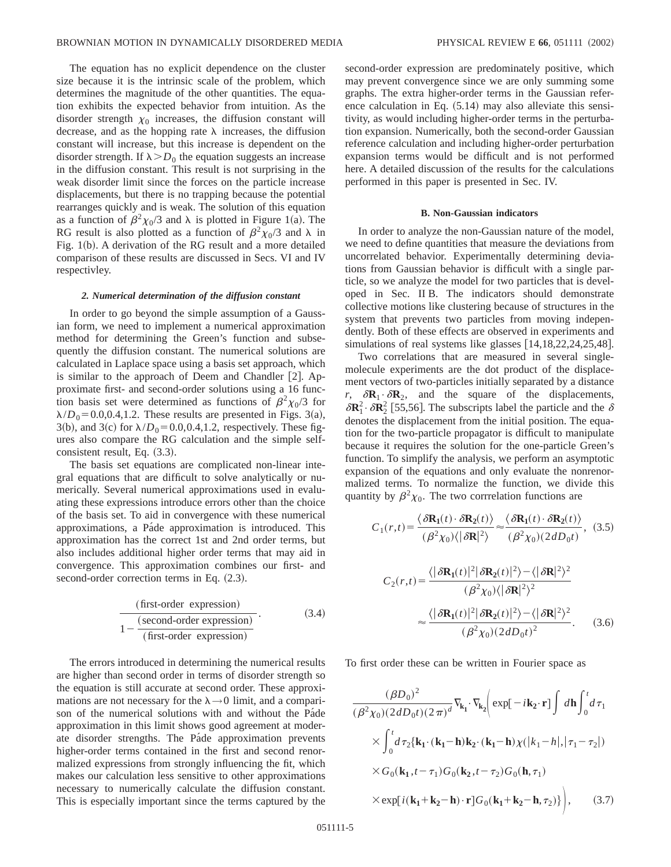The equation has no explicit dependence on the cluster size because it is the intrinsic scale of the problem, which determines the magnitude of the other quantities. The equation exhibits the expected behavior from intuition. As the disorder strength  $\chi_0$  increases, the diffusion constant will decrease, and as the hopping rate  $\lambda$  increases, the diffusion constant will increase, but this increase is dependent on the disorder strength. If  $\lambda > D_0$  the equation suggests an increase in the diffusion constant. This result is not surprising in the weak disorder limit since the forces on the particle increase displacements, but there is no trapping because the potential rearranges quickly and is weak. The solution of this equation as a function of  $\beta^2 \chi_0/3$  and  $\lambda$  is plotted in Figure 1(a). The RG result is also plotted as a function of  $\beta^2\chi_0/3$  and  $\lambda$  in Fig.  $1(b)$ . A derivation of the RG result and a more detailed comparison of these results are discussed in Secs. VI and IV respectivley.

## *2. Numerical determination of the diffusion constant*

In order to go beyond the simple assumption of a Gaussian form, we need to implement a numerical approximation method for determining the Green's function and subsequently the diffusion constant. The numerical solutions are calculated in Laplace space using a basis set approach, which is similar to the approach of Deem and Chandler  $[2]$ . Approximate first- and second-order solutions using a 16 function basis set were determined as functions of  $\beta^2 \chi_0/3$  for  $\lambda/D_0$ =0.0,0.4,1.2. These results are presented in Figs. 3(a), 3(b), and 3(c) for  $\lambda/D_0 = 0.0, 0.4, 1.2$ , respectively. These figures also compare the RG calculation and the simple selfconsistent result, Eq.  $(3.3)$ .

The basis set equations are complicated non-linear integral equations that are difficult to solve analytically or numerically. Several numerical approximations used in evaluating these expressions introduce errors other than the choice of the basis set. To aid in convergence with these numerical approximations, a Páde approximation is introduced. This approximation has the correct 1st and 2nd order terms, but also includes additional higher order terms that may aid in convergence. This approximation combines our first- and second-order correction terms in Eq.  $(2.3)$ .

$$
\frac{\text{(first-order expression)}}{1 - \frac{\text{(second-order expression)}}{\text{(first-order expression)}}.
$$
\n(3.4)

The errors introduced in determining the numerical results are higher than second order in terms of disorder strength so the equation is still accurate at second order. These approximations are not necessary for the  $\lambda \rightarrow 0$  limit, and a comparison of the numerical solutions with and without the Pa $\acute{a}$ de approximation in this limit shows good agreement at moderate disorder strengths. The Páde approximation prevents higher-order terms contained in the first and second renormalized expressions from strongly influencing the fit, which makes our calculation less sensitive to other approximations necessary to numerically calculate the diffusion constant. This is especially important since the terms captured by the second-order expression are predominately positive, which may prevent convergence since we are only summing some graphs. The extra higher-order terms in the Gaussian reference calculation in Eq.  $(5.14)$  may also alleviate this sensitivity, as would including higher-order terms in the perturbation expansion. Numerically, both the second-order Gaussian reference calculation and including higher-order perturbation expansion terms would be difficult and is not performed here. A detailed discussion of the results for the calculations performed in this paper is presented in Sec. IV.

#### **B. Non-Gaussian indicators**

In order to analyze the non-Gaussian nature of the model, we need to define quantities that measure the deviations from uncorrelated behavior. Experimentally determining deviations from Gaussian behavior is difficult with a single particle, so we analyze the model for two particles that is developed in Sec. II B. The indicators should demonstrate collective motions like clustering because of structures in the system that prevents two particles from moving independently. Both of these effects are observed in experiments and simulations of real systems like glasses  $[14,18,22,24,25,48]$ .

Two correlations that are measured in several singlemolecule experiments are the dot product of the displacement vectors of two-particles initially separated by a distance *r*,  $\delta \mathbf{R}_1 \cdot \delta \mathbf{R}_2$ , and the square of the displacements,  $\delta \mathbf{R}_1^2 \cdot \delta \mathbf{R}_2^2$  [55,56]. The subscripts label the particle and the  $\delta$ denotes the displacement from the initial position. The equation for the two-particle propagator is difficult to manipulate because it requires the solution for the one-particle Green's function. To simplify the analysis, we perform an asymptotic expansion of the equations and only evaluate the nonrenormalized terms. To normalize the function, we divide this quantity by  $\beta^2 \chi_0$ . The two corrrelation functions are

$$
C_1(r,t) = \frac{\langle \delta \mathbf{R}_1(t) \cdot \delta \mathbf{R}_2(t) \rangle}{(\beta^2 \chi_0) \langle |\delta \mathbf{R}|^2 \rangle} \approx \frac{\langle \delta \mathbf{R}_1(t) \cdot \delta \mathbf{R}_2(t) \rangle}{(\beta^2 \chi_0) (2dD_0 t)},
$$
(3.5)

$$
C_2(r,t) = \frac{\langle |\delta \mathbf{R}_1(t)|^2 |\delta \mathbf{R}_2(t)|^2 \rangle - \langle |\delta \mathbf{R}|^2 \rangle^2}{(\beta^2 \chi_0) \langle |\delta \mathbf{R}|^2 \rangle^2}
$$

$$
\approx \frac{\langle |\delta \mathbf{R}_1(t)|^2 |\delta \mathbf{R}_2(t)|^2 \rangle - \langle |\delta \mathbf{R}|^2 \rangle^2}{(\beta^2 \chi_0) (2dD_0 t)^2}.
$$
(3.6)

To first order these can be written in Fourier space as

$$
\frac{(\beta D_0)^2}{(\beta^2 \chi_0)(2dD_0t)(2\pi)^d} \nabla_{\mathbf{k}_1} \cdot \nabla_{\mathbf{k}_2} \Biggl( \exp[-i\mathbf{k}_2 \cdot \mathbf{r}] \int d\mathbf{h} \int_0^t d\tau_1
$$
  
 
$$
\times \int_0^t d\tau_2 \{ \mathbf{k}_1 \cdot (\mathbf{k}_1 - \mathbf{h}) \mathbf{k}_2 \cdot (\mathbf{k}_1 - \mathbf{h}) \chi(|k_1 - h|, |\tau_1 - \tau_2|)
$$
  
 
$$
\times G_0(\mathbf{k}_1, t - \tau_1) G_0(\mathbf{k}_2, t - \tau_2) G_0(\mathbf{h}, \tau_1)
$$
  
 
$$
\times \exp[i(\mathbf{k}_1 + \mathbf{k}_2 - \mathbf{h}) \cdot \mathbf{r}] G_0(\mathbf{k}_1 + \mathbf{k}_2 - \mathbf{h}, \tau_2) \}, \qquad (3.7)
$$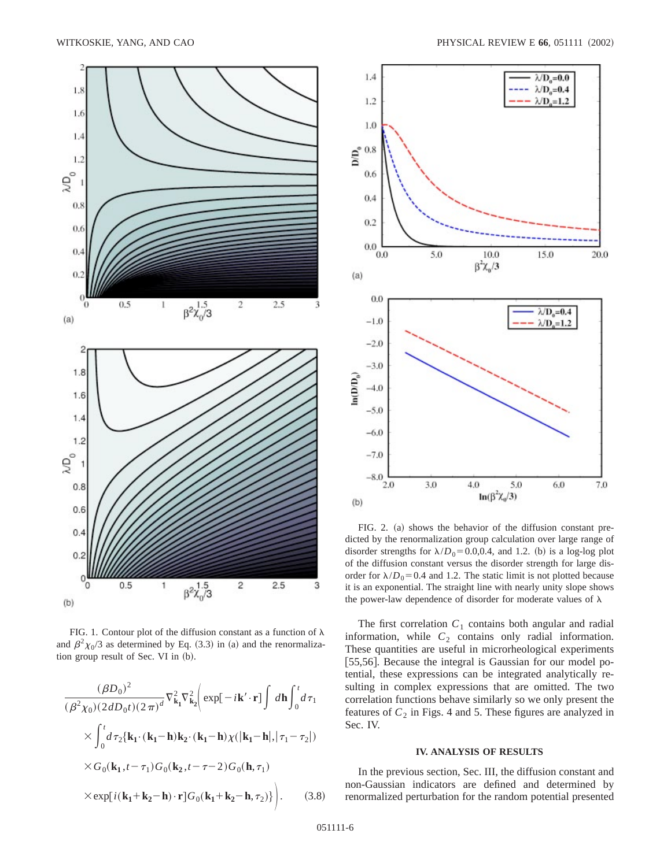

FIG. 1. Contour plot of the diffusion constant as a function of  $\lambda$ and  $\beta^2 \chi_0/3$  as determined by Eq. (3.3) in (a) and the renormalization group result of Sec. VI in (b).

$$
\frac{(\beta D_0)^2}{(\beta^2 \chi_0)(2dD_0t)(2\pi)^d} \nabla_{\mathbf{k}_1}^2 \nabla_{\mathbf{k}_2}^2 \Biggl( \exp[-i\mathbf{k}' \cdot \mathbf{r}] \int d\mathbf{h} \int_0^t d\tau_1
$$
  
 
$$
\times \int_0^t d\tau_2 {\{\mathbf{k}_1 \cdot (\mathbf{k}_1 - \mathbf{h}) \mathbf{k}_2 \cdot (\mathbf{k}_1 - \mathbf{h}) \chi(|\mathbf{k}_1 - \mathbf{h}|, |\tau_1 - \tau_2|) \}} \times G_0(\mathbf{k}_1, t - \tau_1) G_0(\mathbf{k}_2, t - \tau - 2) G_0(\mathbf{h}, \tau_1)
$$
  
 
$$
\times \exp[i(\mathbf{k}_1 + \mathbf{k}_2 - \mathbf{h}) \cdot \mathbf{r}] G_0(\mathbf{k}_1 + \mathbf{k}_2 - \mathbf{h}, \tau_2)\} \Biggr). \tag{3.8}
$$



FIG. 2. (a) shows the behavior of the diffusion constant predicted by the renormalization group calculation over large range of disorder strengths for  $\lambda/D_0=0.0,0.4$ , and 1.2. (b) is a log-log plot of the diffusion constant versus the disorder strength for large disorder for  $\lambda/D_0$ = 0.4 and 1.2. The static limit is not plotted because it is an exponential. The straight line with nearly unity slope shows the power-law dependence of disorder for moderate values of  $\lambda$ 

The first correlation  $C_1$  contains both angular and radial information, while  $C_2$  contains only radial information. These quantities are useful in microrheological experiments [55,56]. Because the integral is Gaussian for our model potential, these expressions can be integrated analytically resulting in complex expressions that are omitted. The two correlation functions behave similarly so we only present the features of  $C_2$  in Figs. 4 and 5. These figures are analyzed in Sec. IV.

## **IV. ANALYSIS OF RESULTS**

In the previous section, Sec. III, the diffusion constant and non-Gaussian indicators are defined and determined by renormalized perturbation for the random potential presented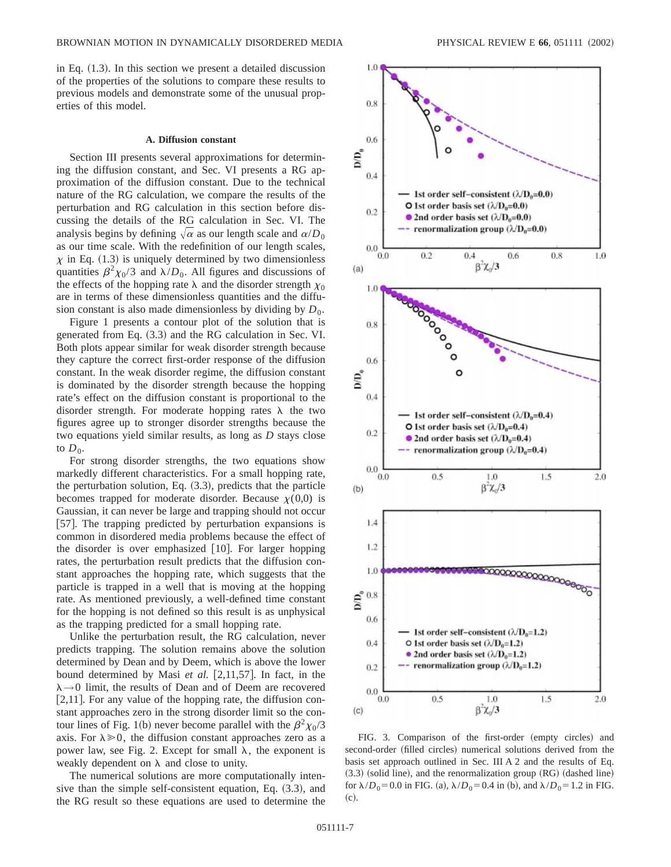in Eq.  $(1.3)$ . In this section we present a detailed discussion of the properties of the solutions to compare these results to previous models and demonstrate some of the unusual properties of this model.

## **A. Diffusion constant**

Section III presents several approximations for determining the diffusion constant, and Sec. VI presents a RG approximation of the diffusion constant. Due to the technical nature of the RG calculation, we compare the results of the perturbation and RG calculation in this section before discussing the details of the RG calculation in Sec. VI. The analysis begins by defining  $\sqrt{\alpha}$  as our length scale and  $\alpha/D_0$ as our time scale. With the redefinition of our length scales,  $\chi$  in Eq. (1.3) is uniquely determined by two dimensionless quantities  $\beta^2 \chi_0/3$  and  $\lambda/D_0$ . All figures and discussions of the effects of the hopping rate  $\lambda$  and the disorder strength  $\chi_0$ are in terms of these dimensionless quantities and the diffusion constant is also made dimensionless by dividing by  $D_0$ .

Figure 1 presents a contour plot of the solution that is generated from Eq.  $(3.3)$  and the RG calculation in Sec. VI. Both plots appear similar for weak disorder strength because they capture the correct first-order response of the diffusion constant. In the weak disorder regime, the diffusion constant is dominated by the disorder strength because the hopping rate's effect on the diffusion constant is proportional to the disorder strength. For moderate hopping rates  $\lambda$  the two figures agree up to stronger disorder strengths because the two equations yield similar results, as long as *D* stays close to  $D_0$ .

For strong disorder strengths, the two equations show markedly different characteristics. For a small hopping rate, the perturbation solution, Eq.  $(3.3)$ , predicts that the particle becomes trapped for moderate disorder. Because  $\chi(0,0)$  is Gaussian, it can never be large and trapping should not occur [57]. The trapping predicted by perturbation expansions is common in disordered media problems because the effect of the disorder is over emphasized  $[10]$ . For larger hopping rates, the perturbation result predicts that the diffusion constant approaches the hopping rate, which suggests that the particle is trapped in a well that is moving at the hopping rate. As mentioned previously, a well-defined time constant for the hopping is not defined so this result is as unphysical as the trapping predicted for a small hopping rate.

Unlike the perturbation result, the RG calculation, never predicts trapping. The solution remains above the solution determined by Dean and by Deem, which is above the lower bound determined by Masi *et al.* [2,11,57]. In fact, in the  $\lambda \rightarrow 0$  limit, the results of Dean and of Deem are recovered  $[2,11]$ . For any value of the hopping rate, the diffusion constant approaches zero in the strong disorder limit so the contour lines of Fig. 1(b) never become parallel with the  $\beta^2 \chi_0/3$ axis. For  $\lambda \ge 0$ , the diffusion constant approaches zero as a power law, see Fig. 2. Except for small  $\lambda$ , the exponent is weakly dependent on  $\lambda$  and close to unity.

The numerical solutions are more computationally intensive than the simple self-consistent equation, Eq.  $(3.3)$ , and the RG result so these equations are used to determine the



FIG. 3. Comparison of the first-order (empty circles) and second-order (filled circles) numerical solutions derived from the basis set approach outlined in Sec. III A 2 and the results of Eq.  $(3.3)$  (solid line), and the renormalization group  $(RG)$  (dashed line) for  $\lambda/D_0 = 0.0$  in FIG. (a),  $\lambda/D_0 = 0.4$  in (b), and  $\lambda/D_0 = 1.2$  in FIG.  $(c)$ .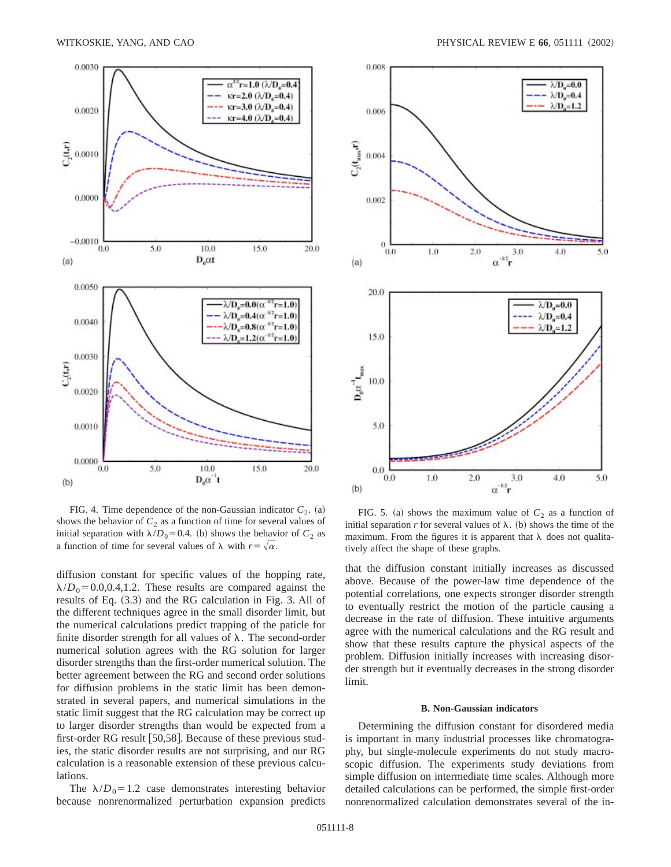

FIG. 4. Time dependence of the non-Gaussian indicator  $C_2$ . (a) shows the behavior of  $C_2$  as a function of time for several values of initial separation with  $\lambda/D_0=0.4$ . (b) shows the behavior of  $C_2$  as a function of time for several values of  $\lambda$  with  $r=\sqrt{\alpha}$ .

diffusion constant for specific values of the hopping rate,  $\lambda/D_0$ =0.0,0.4,1.2. These results are compared against the results of Eq.  $(3.3)$  and the RG calculation in Fig. 3. All of the different techniques agree in the small disorder limit, but the numerical calculations predict trapping of the paticle for finite disorder strength for all values of  $\lambda$ . The second-order numerical solution agrees with the RG solution for larger disorder strengths than the first-order numerical solution. The better agreement between the RG and second order solutions for diffusion problems in the static limit has been demonstrated in several papers, and numerical simulations in the static limit suggest that the RG calculation may be correct up to larger disorder strengths than would be expected from a first-order RG result  $[50,58]$ . Because of these previous studies, the static disorder results are not surprising, and our RG calculation is a reasonable extension of these previous calculations.

The  $\lambda/D_0=1.2$  case demonstrates interesting behavior because nonrenormalized perturbation expansion predicts



FIG. 5. (a) shows the maximum value of  $C_2$  as a function of initial separation  $r$  for several values of  $\lambda$ . (b) shows the time of the maximum. From the figures it is apparent that  $\lambda$  does not qualitatively affect the shape of these graphs.

that the diffusion constant initially increases as discussed above. Because of the power-law time dependence of the potential correlations, one expects stronger disorder strength to eventually restrict the motion of the particle causing a decrease in the rate of diffusion. These intuitive arguments agree with the numerical calculations and the RG result and show that these results capture the physical aspects of the problem. Diffusion initially increases with increasing disorder strength but it eventually decreases in the strong disorder limit.

### **B. Non-Gaussian indicators**

Determining the diffusion constant for disordered media is important in many industrial processes like chromatography, but single-molecule experiments do not study macroscopic diffusion. The experiments study deviations from simple diffusion on intermediate time scales. Although more detailed calculations can be performed, the simple first-order nonrenormalized calculation demonstrates several of the in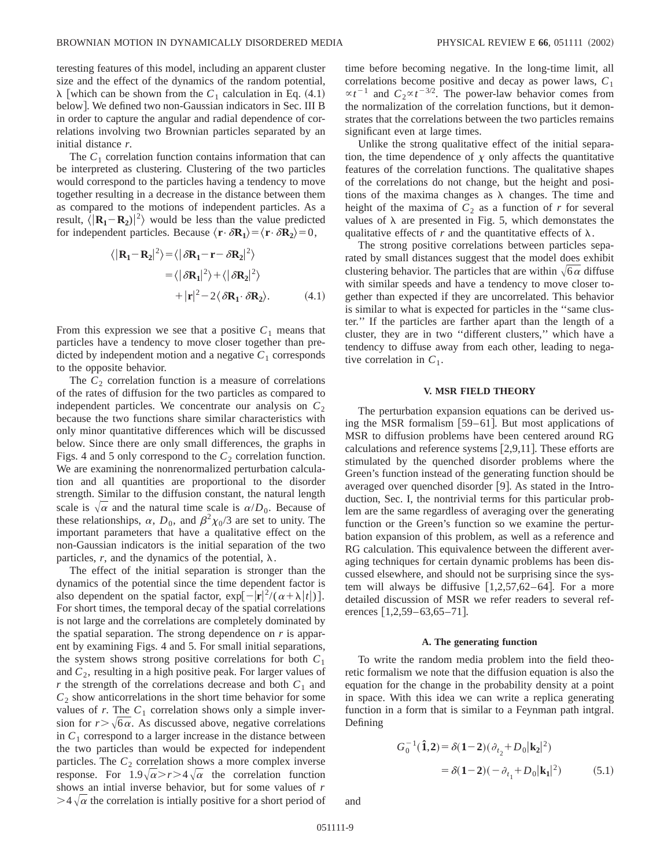teresting features of this model, including an apparent cluster size and the effect of the dynamics of the random potential,  $\lambda$  [which can be shown from the  $C_1$  calculation in Eq. (4.1) below]. We defined two non-Gaussian indicators in Sec. III B in order to capture the angular and radial dependence of correlations involving two Brownian particles separated by an initial distance *r*.

The  $C_1$  correlation function contains information that can be interpreted as clustering. Clustering of the two particles would correspond to the particles having a tendency to move together resulting in a decrease in the distance between them as compared to the motions of independent particles. As a result,  $\langle |\mathbf{R}_1 - \mathbf{R}_2|^{2} \rangle$  would be less than the value predicted for independent particles. Because  $\langle \mathbf{r} \cdot \delta \mathbf{R}_1 \rangle = \langle \mathbf{r} \cdot \delta \mathbf{R}_2 \rangle = 0$ ,

$$
\langle |\mathbf{R}_1 - \mathbf{R}_2|^2 \rangle = \langle |\delta \mathbf{R}_1 - \mathbf{r} - \delta \mathbf{R}_2|^2 \rangle
$$
  
=  $\langle |\delta \mathbf{R}_1|^2 \rangle + \langle |\delta \mathbf{R}_2|^2 \rangle$   
+  $|\mathbf{r}|^2 - 2 \langle \delta \mathbf{R}_1 \cdot \delta \mathbf{R}_2 \rangle.$  (4.1)

From this expression we see that a positive  $C_1$  means that particles have a tendency to move closer together than predicted by independent motion and a negative  $C_1$  corresponds to the opposite behavior.

The  $C_2$  correlation function is a measure of correlations of the rates of diffusion for the two particles as compared to independent particles. We concentrate our analysis on  $C_2$ because the two functions share similar characteristics with only minor quantitative differences which will be discussed below. Since there are only small differences, the graphs in Figs. 4 and 5 only correspond to the  $C_2$  correlation function. We are examining the nonrenormalized perturbation calculation and all quantities are proportional to the disorder strength. Similar to the diffusion constant, the natural length scale is  $\sqrt{\alpha}$  and the natural time scale is  $\alpha/D_0$ . Because of these relationships,  $\alpha$ ,  $D_0$ , and  $\beta^2 \chi_0/3$  are set to unity. The important parameters that have a qualitative effect on the non-Gaussian indicators is the initial separation of the two particles,  $r$ , and the dynamics of the potential,  $\lambda$ .

The effect of the initial separation is stronger than the dynamics of the potential since the time dependent factor is also dependent on the spatial factor,  $\exp[-|\mathbf{r}|^2/(\alpha + \lambda |t|)].$ For short times, the temporal decay of the spatial correlations is not large and the correlations are completely dominated by the spatial separation. The strong dependence on *r* is apparent by examining Figs. 4 and 5. For small initial separations, the system shows strong positive correlations for both *C*<sup>1</sup> and  $C_2$ , resulting in a high positive peak. For larger values of  $r$  the strength of the correlations decrease and both  $C_1$  and  $C_2$  show anticorrelations in the short time behavior for some values of  $r$ . The  $C_1$  correlation shows only a simple inversion for  $r$   $>\sqrt{6\alpha}$ . As discussed above, negative correlations in  $C_1$  correspond to a larger increase in the distance between the two particles than would be expected for independent particles. The  $C_2$  correlation shows a more complex inverse response. For  $1.9\sqrt{\alpha} > r > 4\sqrt{\alpha}$  the correlation function shows an intial inverse behavior, but for some values of *r*  $>4\sqrt{\alpha}$  the correlation is intially positive for a short period of time before becoming negative. In the long-time limit, all correlations become positive and decay as power laws, *C*<sup>1</sup>  $\propto t^{-1}$  and  $C_2 \propto t^{-3/2}$ . The power-law behavior comes from the normalization of the correlation functions, but it demonstrates that the correlations between the two particles remains significant even at large times.

Unlike the strong qualitative effect of the initial separation, the time dependence of  $\chi$  only affects the quantitative features of the correlation functions. The qualitative shapes of the correlations do not change, but the height and positions of the maxima changes as  $\lambda$  changes. The time and height of the maxima of  $C_2$  as a function of  $r$  for several values of  $\lambda$  are presented in Fig. 5, which demonstates the qualitative effects of  $r$  and the quantitative effects of  $\lambda$ .

The strong positive correlations between particles separated by small distances suggest that the model does exhibit clustering behavior. The particles that are within  $\sqrt{6} \alpha$  diffuse with similar speeds and have a tendency to move closer together than expected if they are uncorrelated. This behavior is similar to what is expected for particles in the ''same cluster.'' If the particles are farther apart than the length of a cluster, they are in two ''different clusters,'' which have a tendency to diffuse away from each other, leading to negative correlation in  $C_1$ .

### **V. MSR FIELD THEORY**

The perturbation expansion equations can be derived using the MSR formalism  $[59-61]$ . But most applications of MSR to diffusion problems have been centered around RG calculations and reference systems  $[2,9,11]$ . These efforts are stimulated by the quenched disorder problems where the Green's function instead of the generating function should be averaged over quenched disorder  $[9]$ . As stated in the Introduction, Sec. I, the nontrivial terms for this particular problem are the same regardless of averaging over the generating function or the Green's function so we examine the perturbation expansion of this problem, as well as a reference and RG calculation. This equivalence between the different averaging techniques for certain dynamic problems has been discussed elsewhere, and should not be surprising since the system will always be diffusive  $[1,2,57,62-64]$ . For a more detailed discussion of MSR we refer readers to several references  $[1,2,59-63,65-71]$ .

### **A. The generating function**

To write the random media problem into the field theoretic formalism we note that the diffusion equation is also the equation for the change in the probability density at a point in space. With this idea we can write a replica generating function in a form that is similar to a Feynman path intgral. Defining

$$
G_0^{-1}(\hat{\mathbf{1}}, \mathbf{2}) = \delta(\mathbf{1} - \mathbf{2})(\partial_{t_2} + D_0|\mathbf{k}_2|^2)
$$
  
=  $\delta(\mathbf{1} - \mathbf{2})(-\partial_{t_1} + D_0|\mathbf{k}_1|^2)$  (5.1)

and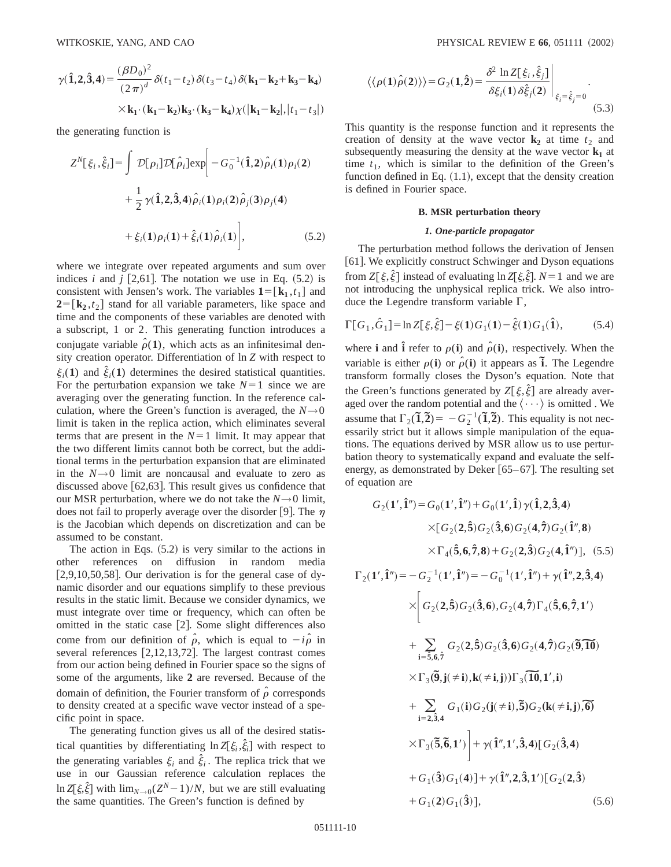$$
\gamma(\hat{\mathbf{1}}, 2, \hat{\mathbf{3}}, 4) = \frac{(\beta D_0)^2}{(2\pi)^d} \delta(t_1 - t_2) \delta(t_3 - t_4) \delta(\mathbf{k}_1 - \mathbf{k}_2 + \mathbf{k}_3 - \mathbf{k}_4)
$$

$$
\times \mathbf{k}_1 \cdot (\mathbf{k}_1 - \mathbf{k}_2) \mathbf{k}_3 \cdot (\mathbf{k}_3 - \mathbf{k}_4) \chi(|\mathbf{k}_1 - \mathbf{k}_2|, |t_1 - t_3|)
$$

the generating function is

$$
Z^{N}[\xi_{i}, \hat{\xi}_{i}] = \int \mathcal{D}[\rho_{i}] \mathcal{D}[\hat{\rho}_{i}] \exp\left[-G_{0}^{-1}(\hat{1}, 2)\hat{\rho}_{i}(1)\rho_{i}(2) + \frac{1}{2} \gamma(\hat{1}, 2, \hat{3}, 4)\hat{\rho}_{i}(1)\rho_{i}(2)\hat{\rho}_{j}(3)\rho_{j}(4) + \xi_{i}(1)\rho_{i}(1) + \hat{\xi}_{i}(1)\hat{\rho}_{i}(1)\right],
$$
 (5.2)

where we integrate over repeated arguments and sum over indices *i* and *j* [2,61]. The notation we use in Eq.  $(5.2)$  is consistent with Jensen's work. The variables  $\mathbf{1} = [\mathbf{k}_1, t_1]$  and  $2 = [k_2, t_2]$  stand for all variable parameters, like space and time and the components of these variables are denoted with a subscript, 1 or 2. This generating function introduces a conjugate variable  $\hat{\rho}(1)$ , which acts as an infinitesimal density creation operator. Differentiation of ln *Z* with respect to  $\xi_i(1)$  and  $\hat{\xi}_i(1)$  determines the desired statistical quantities. For the perturbation expansion we take  $N=1$  since we are averaging over the generating function. In the reference calculation, where the Green's function is averaged, the  $N\rightarrow 0$ limit is taken in the replica action, which eliminates several terms that are present in the  $N=1$  limit. It may appear that the two different limits cannot both be correct, but the additional terms in the perturbation expansion that are eliminated in the  $N\rightarrow 0$  limit are noncausal and evaluate to zero as discussed above  $[62,63]$ . This result gives us confidence that our MSR perturbation, where we do not take the  $N\rightarrow 0$  limit, does not fail to properly average over the disorder [9]. The  $\eta$ is the Jacobian which depends on discretization and can be assumed to be constant.

The action in Eqs.  $(5.2)$  is very similar to the actions in other references on diffusion in random media  $[2,9,10,50,58]$ . Our derivation is for the general case of dynamic disorder and our equations simplify to these previous results in the static limit. Because we consider dynamics, we must integrate over time or frequency, which can often be omitted in the static case [2]. Some slight differences also come from our definition of  $\hat{\rho}$ , which is equal to  $-i\hat{\rho}$  in several references  $[2,12,13,72]$ . The largest contrast comes from our action being defined in Fourier space so the signs of some of the arguments, like **2** are reversed. Because of the domain of definition, the Fourier transform of  $\hat{\rho}$  corresponds to density created at a specific wave vector instead of a specific point in space.

The generating function gives us all of the desired statistical quantities by differentiating  $\ln Z[\xi_i, \hat{\xi}_i]$  with respect to the generating variables  $\xi_i$  and  $\hat{\xi}_i$ . The replica trick that we use in our Gaussian reference calculation replaces the  $\ln Z[\xi,\hat{\xi}]$  with  $\lim_{N\to 0}(Z^N-1)/N$ , but we are still evaluating the same quantities. The Green's function is defined by

$$
\langle \langle \rho(\mathbf{1}) \hat{\rho}(\mathbf{2}) \rangle \rangle = G_2(\mathbf{1}, \mathbf{\hat{2}}) = \frac{\delta^2 \ln Z[\xi_i, \hat{\xi}_j]}{\delta \xi_i(\mathbf{1}) \delta \hat{\xi}_j(\mathbf{2})} \Big|_{\xi_i = \hat{\xi}_j = 0}.
$$
\n(5.3)

This quantity is the response function and it represents the creation of density at the wave vector  $\mathbf{k}_2$  at time  $t_2$  and subsequently measuring the density at the wave vector  $\mathbf{k}_1$  at time  $t_1$ , which is similar to the definition of the Green's function defined in Eq.  $(1.1)$ , except that the density creation is defined in Fourier space.

### **B. MSR perturbation theory**

### *1. One-particle propagator*

The perturbation method follows the derivation of Jensen [61]. We explicitly construct Schwinger and Dyson equations from  $Z[\xi,\hat{\xi}]$  instead of evaluating  $\ln Z[\xi,\hat{\xi}]$ .  $N=1$  and we are not introducing the unphysical replica trick. We also introduce the Legendre transform variable  $\Gamma$ ,

$$
\Gamma[G_1, \hat{G}_1] = \ln Z[\xi, \hat{\xi}] - \xi(1)G_1(1) - \hat{\xi}(1)G_1(\hat{1}), \quad (5.4)
$$

where **i** and  $\hat{\mathbf{i}}$  refer to  $\rho(\mathbf{i})$  and  $\hat{\rho}(\mathbf{i})$ , respectively. When the variable is either  $\rho$ (**i**) or  $\rho$ <sup>2</sup>(**i**) it appears as **i**. The Legendre transform formally closes the Dyson's equation. Note that the Green's functions generated by  $Z[\xi,\hat{\xi}]$  are already averaged over the random potential and the  $\langle \cdots \rangle$  is omitted . We assume that  $\Gamma_2(\tilde{\mathbf{I}}, \tilde{\mathbf{2}}) = -G_2^{-1}(\tilde{\mathbf{I}}, \tilde{\mathbf{2}})$ . This equality is not necessarily strict but it allows simple manipulation of the equations. The equations derived by MSR allow us to use perturbation theory to systematically expand and evaluate the selfenergy, as demonstrated by Deker  $[65–67]$ . The resulting set of equation are

$$
G_{2}(1', \hat{1}'') = G_{0}(1', \hat{1}'') + G_{0}(1', \hat{1}) \gamma(\hat{1}, 2, \hat{3}, 4)
$$
  
\n
$$
\times [G_{2}(2, \hat{5}) G_{2}(\hat{3}, 6) G_{2}(4, \hat{7}) G_{2}(\hat{1}'', 8)
$$
  
\n
$$
\times \Gamma_{4}(\hat{5}, 6, \hat{7}, 8) + G_{2}(2, \hat{3}) G_{2}(4, \hat{1}'')], (5.5)
$$
  
\n
$$
\Gamma_{2}(1', \hat{1}'') = -G_{2}^{-1}(1', \hat{1}'') = -G_{0}^{-1}(1', \hat{1}'') + \gamma(\hat{1}'', 2, \hat{3}, 4)
$$
  
\n
$$
\times \left[ G_{2}(2, \hat{5}) G_{2}(\hat{3}, 6), G_{2}(4, \hat{7}) \Gamma_{4}(\hat{5}, 6, \hat{7}, 1') + \sum_{i=\hat{5}, 6, \hat{7}} G_{2}(2, \hat{5}) G_{2}(\hat{3}, 6) G_{2}(4, \hat{7}) G_{2}(\hat{9}, \hat{10}) + \sum_{i=\hat{2}, \hat{3}, 4} G_{1}(i) G_{2}(j(\neq i), \hat{5}) G_{2}(k(\neq i, j), \hat{6}) + \sum_{i=\hat{2}, \hat{3}, 4} G_{1}(i) G_{2}(j(\neq i), \hat{5}) G_{2}(k(\neq i, j), \hat{6}) + G_{1}(\hat{3}) G_{1}(4) + \gamma(\hat{1}'', 2, \hat{3}, 1') [G_{2}(\hat{3}, 4) + G_{1}(\hat{3}) G_{1}(4)] + \gamma(\hat{1}'', 2, \hat{3}, 1') [G_{2}(2, \hat{3}) + G_{1}(2) G_{1}(\hat{3})], (5.6)
$$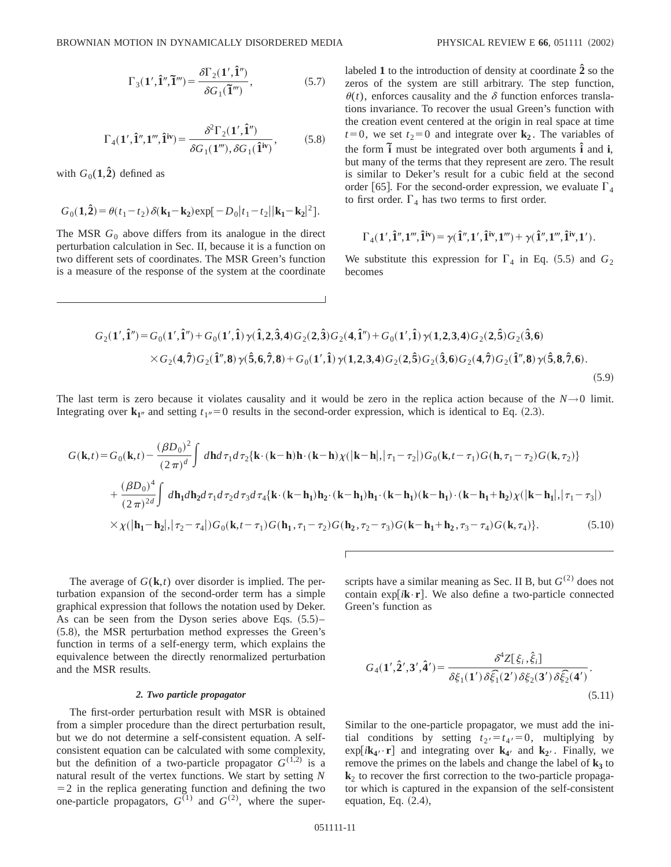$$
\Gamma_3(\mathbf{1}', \hat{\mathbf{1}}'', \tilde{\mathbf{1}}''') = \frac{\delta \Gamma_2(\mathbf{1}', \hat{\mathbf{1}}'')}{\delta G_1(\tilde{\mathbf{1}}'')},\tag{5.7}
$$

$$
\Gamma_4(\mathbf{1}', \hat{\mathbf{1}}'', \mathbf{1}''', \hat{\mathbf{1}}^{\text{iv}}) = \frac{\delta^2 \Gamma_2(\mathbf{1}', \hat{\mathbf{1}}'')}{\delta G_1(\mathbf{1}'''), \delta G_1(\hat{\mathbf{1}}^{\text{iv}})},
$$
(5.8)

with  $G_0(1,\hat{2})$  defined as

$$
G_0(\mathbf{1},\mathbf{\hat{2}}) = \theta(t_1-t_2)\,\delta(\mathbf{k_1}-\mathbf{k_2})\exp[-D_0|t_1-t_2||\mathbf{k_1}-\mathbf{k_2}|^2].
$$

The MSR  $G_0$  above differs from its analogue in the direct perturbation calculation in Sec. II, because it is a function on two different sets of coordinates. The MSR Green's function is a measure of the response of the system at the coordinate labeled **1** to the introduction of density at coordinate **2ˆ** so the zeros of the system are still arbitrary. The step function,  $\theta(t)$ , enforces causality and the  $\delta$  function enforces translations invariance. To recover the usual Green's function with the creation event centered at the origin in real space at time  $t=0$ , we set  $t_2=0$  and integrate over  $\mathbf{k}_2$ . The variables of the form  $\tilde{\mathbf{i}}$  must be integrated over both arguments  $\hat{\mathbf{i}}$  and  $\mathbf{i}$ , but many of the terms that they represent are zero. The result is similar to Deker's result for a cubic field at the second order [65]. For the second-order expression, we evaluate  $\Gamma_4$ to first order.  $\Gamma_4$  has two terms to first order.

$$
\Gamma_4(1',\hat{1}'',1''',\hat{1}^{iv}) = \gamma(\hat{1}'',1',\hat{1}^{iv},1''') + \gamma(\hat{1}'',1''',\hat{1}^{iv},1').
$$

We substitute this expression for  $\Gamma_4$  in Eq. (5.5) and  $G_2$ becomes

$$
G_2(\mathbf{1}', \hat{\mathbf{1}}'') = G_0(\mathbf{1}', \hat{\mathbf{1}}'') + G_0(\mathbf{1}', \hat{\mathbf{1}}) \gamma(\hat{\mathbf{1}}, \hat{\mathbf{2}}, \hat{\mathbf{3}}, \mathbf{4}) G_2(\mathbf{2}, \hat{\mathbf{3}}) G_2(\mathbf{4}, \hat{\mathbf{1}}'') + G_0(\mathbf{1}', \hat{\mathbf{1}}) \gamma(\mathbf{1}, \mathbf{2}, \mathbf{3}, \mathbf{4}) G_2(\mathbf{2}, \hat{\mathbf{5}}) G_2(\hat{\mathbf{3}}, \mathbf{6})
$$
  
×
$$
G_2(\mathbf{4}, \hat{\mathbf{7}}) G_2(\hat{\mathbf{1}}'', \mathbf{8}) \gamma(\hat{\mathbf{5}}, \mathbf{6}, \hat{\mathbf{7}}, \mathbf{8}) + G_0(\mathbf{1}', \hat{\mathbf{1}}) \gamma(\mathbf{1}, \mathbf{2}, \mathbf{3}, \mathbf{4}) G_2(\mathbf{2}, \hat{\mathbf{5}}) G_2(\hat{\mathbf{3}}, \mathbf{6}) G_2(\mathbf{4}, \hat{\mathbf{7}}) G_2(\hat{\mathbf{1}}'', \mathbf{8}) \gamma(\hat{\mathbf{5}}, \mathbf{8}, \hat{\mathbf{7}}, \mathbf{6}).
$$
\n(5.9)

The last term is zero because it violates causality and it would be zero in the replica action because of the  $N\rightarrow 0$  limit. Integrating over  $\mathbf{k}_{1}$ <sup>n</sup> and setting  $t_{1}$ <sup>n</sup> = 0 results in the second-order expression, which is identical to Eq. (2.3).

$$
G(\mathbf{k},t) = G_0(\mathbf{k},t) - \frac{(\beta D_0)^2}{(2\pi)^d} \int d\mathbf{h} d\tau_1 d\tau_2 \{ \mathbf{k} \cdot (\mathbf{k} - \mathbf{h}) \mathbf{h} \cdot (\mathbf{k} - \mathbf{h}) \chi(|\mathbf{k} - \mathbf{h}|, |\tau_1 - \tau_2|) G_0(\mathbf{k},t - \tau_1) G(\mathbf{h},\tau_1 - \tau_2) G(\mathbf{k},\tau_2) \}
$$
  
+ 
$$
\frac{(\beta D_0)^4}{(2\pi)^{2d}} \int d\mathbf{h}_1 d\mathbf{h}_2 d\tau_1 d\tau_2 d\tau_3 d\tau_4 \{ \mathbf{k} \cdot (\mathbf{k} - \mathbf{h}_1) \mathbf{h}_2 \cdot (\mathbf{k} - \mathbf{h}_1) \mathbf{h}_1 \cdot (\mathbf{k} - \mathbf{h}_1) (\mathbf{k} - \mathbf{h}_1) \cdot (\mathbf{k} - \mathbf{h}_1 + \mathbf{h}_2) \chi(|\mathbf{k} - \mathbf{h}_1|, |\tau_1 - \tau_3|)
$$
  
×  $\chi(|\mathbf{h}_1 - \mathbf{h}_2|, |\tau_2 - \tau_4|) G_0(\mathbf{k},t - \tau_1) G(\mathbf{h}_1, \tau_1 - \tau_2) G(\mathbf{h}_2, \tau_2 - \tau_3) G(\mathbf{k} - \mathbf{h}_1 + \mathbf{h}_2, \tau_3 - \tau_4) G(\mathbf{k}, \tau_4) \}.$  (5.10)

The average of *G*(**k**,*t*) over disorder is implied. The perturbation expansion of the second-order term has a simple graphical expression that follows the notation used by Deker. As can be seen from the Dyson series above Eqs.  $(5.5)$ –  $(5.8)$ , the MSR perturbation method expresses the Green's function in terms of a self-energy term, which explains the equivalence between the directly renormalized perturbation and the MSR results.

### *2. Two particle propagator*

The first-order perturbation result with MSR is obtained from a simpler procedure than the direct perturbation result, but we do not determine a self-consistent equation. A selfconsistent equation can be calculated with some complexity, but the definition of a two-particle propagator  $G^{(1,2)}$  is a natural result of the vertex functions. We start by setting *N*  $=$  2 in the replica generating function and defining the two one-particle propagators,  $G^{(1)}$  and  $G^{(2)}$ , where the superscripts have a similar meaning as Sec. II B, but  $G^{(2)}$  does not contain  $exp[i\mathbf{k}\cdot\mathbf{r}]$ . We also define a two-particle connected Green's function as

$$
G_4(\mathbf{1}', \hat{\mathbf{2}}', \mathbf{3}', \hat{\mathbf{4}}') = \frac{\delta^4 Z[\xi_i, \hat{\xi}_i]}{\delta \xi_1(\mathbf{1}') \delta \hat{\xi_1}(\mathbf{2}') \delta \xi_2(\mathbf{3}') \delta \hat{\xi_2}(\mathbf{4}')}.
$$
\n(5.11)

Similar to the one-particle propagator, we must add the initial conditions by setting  $t_2 = t_4 = 0$ , multiplying by  $\exp[i\mathbf{k}_{4'} \cdot \mathbf{r}]$  and integrating over  $\mathbf{k}_{4'}$  and  $\mathbf{k}_{2'}$ . Finally, we remove the primes on the labels and change the label of  $\mathbf{k}_3$  to  $k<sub>2</sub>$  to recover the first correction to the two-particle propagator which is captured in the expansion of the self-consistent equation, Eq.  $(2.4)$ ,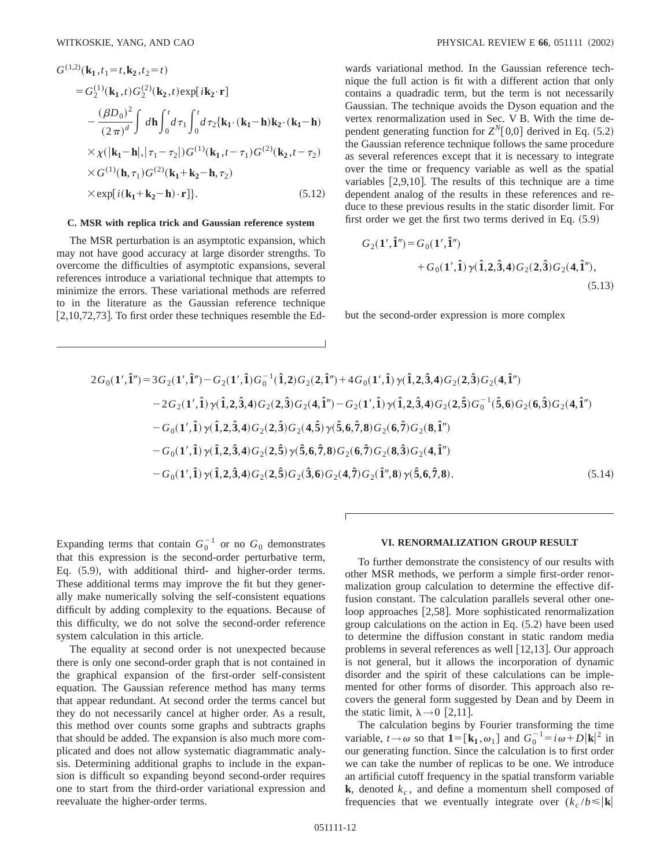$$
G^{(1,2)}(\mathbf{k}_{1}, t_{1} = t, \mathbf{k}_{2}, t_{2} = t)
$$
  
\n
$$
= G_{2}^{(1)}(\mathbf{k}_{1}, t) G_{2}^{(2)}(\mathbf{k}_{2}, t) \exp[i\mathbf{k}_{2} \cdot \mathbf{r}]
$$
  
\n
$$
- \frac{(\beta D_{0})^{2}}{(2\pi)^{d}} \int d\mathbf{h} \int_{0}^{t} d\tau_{1} \int_{0}^{t} d\tau_{2} {\mathbf{k}_{1} \cdot (\mathbf{k}_{1} - \mathbf{h}) \mathbf{k}_{2} \cdot (\mathbf{k}_{1} - \mathbf{h})}
$$
  
\n
$$
\times \chi(|\mathbf{k}_{1} - \mathbf{h}|, |\tau_{1} - \tau_{2}|) G^{(1)}(\mathbf{k}_{1}, t - \tau_{1}) G^{(2)}(\mathbf{k}_{2}, t - \tau_{2})
$$
  
\n
$$
\times G^{(1)}(\mathbf{h}, \tau_{1}) G^{(2)}(\mathbf{k}_{1} + \mathbf{k}_{2} - \mathbf{h}, \tau_{2})
$$
  
\n
$$
\times \exp[i(\mathbf{k}_{1} + \mathbf{k}_{2} - \mathbf{h}) \cdot \mathbf{r}]]. \qquad (5.12)
$$

### **C. MSR with replica trick and Gaussian reference system**

The MSR perturbation is an asymptotic expansion, which may not have good accuracy at large disorder strengths. To overcome the difficulties of asymptotic expansions, several references introduce a variational technique that attempts to minimize the errors. These variational methods are referred to in the literature as the Gaussian reference technique  $[2,10,72,73]$ . To first order these techniques resemble the Edwards variational method. In the Gaussian reference technique the full action is fit with a different action that only contains a quadradic term, but the term is not necessarily Gaussian. The technique avoids the Dyson equation and the vertex renormalization used in Sec. V B. With the time dependent generating function for  $Z^N[0,0]$  derived in Eq.  $(5.2)$ the Gaussian reference technique follows the same procedure as several references except that it is necessary to integrate over the time or frequency variable as well as the spatial variables  $[2,9,10]$ . The results of this technique are a time dependent analog of the results in these references and reduce to these previous results in the static disorder limit. For first order we get the first two terms derived in Eq.  $(5.9)$ 

$$
G_2(\mathbf{1}', \hat{\mathbf{1}}'') = G_0(\mathbf{1}', \hat{\mathbf{1}}'')
$$
  
+ 
$$
G_0(\mathbf{1}', \hat{\mathbf{1}}) \gamma(\hat{\mathbf{1}}, \hat{\mathbf{2}}, \hat{\mathbf{3}}, 4) G_2(\mathbf{2}, \hat{\mathbf{3}}) G_2(\mathbf{4}, \hat{\mathbf{1}}''),
$$
(5.13)

but the second-order expression is more complex

$$
2G_0(1',\hat{1}'') = 3G_2(1',\hat{1}'') - G_2(1',\hat{1})G_0^{-1}(\hat{1},2)G_2(2,\hat{1}'') + 4G_0(1',\hat{1})\gamma(\hat{1},2,\hat{3},4)G_2(2,\hat{3})G_2(4,\hat{1}'')
$$
  
\n
$$
-2G_2(1',\hat{1})\gamma(\hat{1},2,\hat{3},4)G_2(2,\hat{3})G_2(4,\hat{1}'') - G_2(1',\hat{1})\gamma(\hat{1},2,\hat{3},4)G_2(2,\hat{5})G_0^{-1}(\hat{5},6)G_2(6,\hat{3})G_2(4,\hat{1}'')
$$
  
\n
$$
-G_0(1',\hat{1})\gamma(\hat{1},2,\hat{3},4)G_2(2,\hat{3})G_2(4,\hat{5})\gamma(\hat{5},6,\hat{7},8)G_2(6,\hat{7})G_2(8,\hat{1}'')
$$
  
\n
$$
-G_0(1',\hat{1})\gamma(\hat{1},2,\hat{3},4)G_2(2,\hat{5})\gamma(\hat{5},6,\hat{7},8)G_2(6,\hat{7})G_2(8,\hat{3})G_2(4,\hat{1}'')
$$
  
\n
$$
-G_0(1',\hat{1})\gamma(\hat{1},2,\hat{3},4)G_2(2,\hat{5})G_2(\hat{3},6)G_2(4,\hat{7})G_2(\hat{1}'',8)\gamma(\hat{5},6,\hat{7},8). \qquad (5.14)
$$

Expanding terms that contain  $G_0^{-1}$  or no  $G_0$  demonstrates that this expression is the second-order perturbative term, Eq.  $(5.9)$ , with additional third- and higher-order terms. These additional terms may improve the fit but they generally make numerically solving the self-consistent equations difficult by adding complexity to the equations. Because of this difficulty, we do not solve the second-order reference system calculation in this article.

The equality at second order is not unexpected because there is only one second-order graph that is not contained in the graphical expansion of the first-order self-consistent equation. The Gaussian reference method has many terms that appear redundant. At second order the terms cancel but they do not necessarily cancel at higher order. As a result, this method over counts some graphs and subtracts graphs that should be added. The expansion is also much more complicated and does not allow systematic diagrammatic analysis. Determining additional graphs to include in the expansion is difficult so expanding beyond second-order requires one to start from the third-order variational expression and reevaluate the higher-order terms.

#### **VI. RENORMALIZATION GROUP RESULT**

To further demonstrate the consistency of our results with other MSR methods, we perform a simple first-order renormalization group calculation to determine the effective diffusion constant. The calculation parallels several other oneloop approaches  $[2,58]$ . More sophisticated renormalization group calculations on the action in Eq.  $(5.2)$  have been used to determine the diffusion constant in static random media problems in several references as well  $[12,13]$ . Our approach is not general, but it allows the incorporation of dynamic disorder and the spirit of these calculations can be implemented for other forms of disorder. This approach also recovers the general form suggested by Dean and by Deem in the static limit,  $\lambda \rightarrow 0$  [2,11].

The calculation begins by Fourier transforming the time variable,  $t \rightarrow \omega$  so that **1**=  $[\mathbf{k}_1, \omega_1]$  and  $G_0^{-1} = i\omega + D|\mathbf{k}|^2$  in our generating function. Since the calculation is to first order we can take the number of replicas to be one. We introduce an artificial cutoff frequency in the spatial transform variable **k**, denoted  $k_c$ , and define a momentum shell composed of frequencies that we eventually integrate over  $(k_c/b \le |\mathbf{k}|)$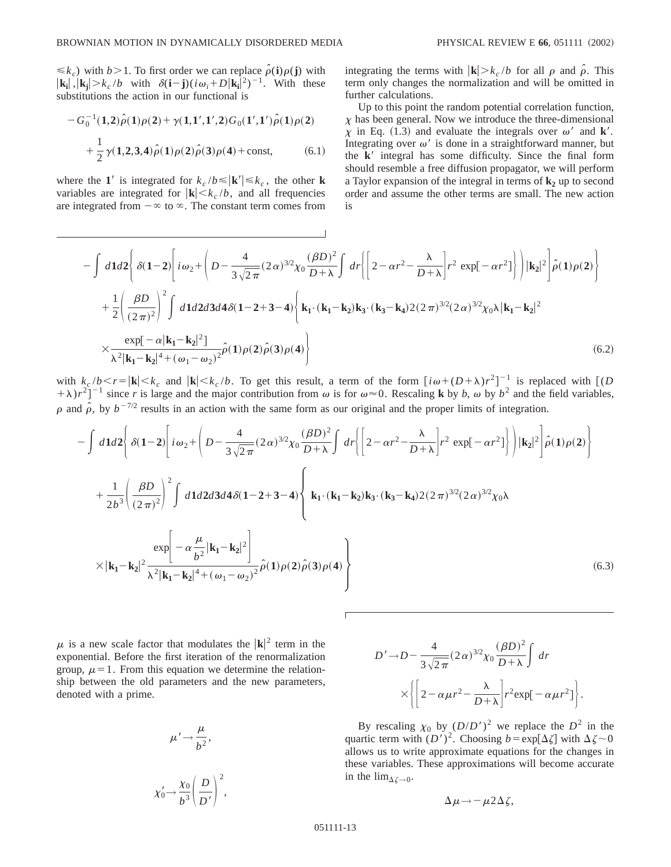$\leq k_c$ ) with *b*>1. To first order we can replace  $\hat{\rho}$ (**i**) $\rho$ (**j**) with  $|\mathbf{k_i}|, |\mathbf{k_j}| > k_c/b$  with  $\delta(\mathbf{i}-\mathbf{j})(i\omega_i+D|\mathbf{k_i}|^2)^{-1}$ . With these substitutions the action in our functional is

$$
-G_0^{-1}(1,2)\hat{\rho}(1)\rho(2) + \gamma(1,1',1',2)G_0(1',1')\hat{\rho}(1)\rho(2) + \frac{1}{2}\gamma(1,2,3,4)\hat{\rho}(1)\rho(2)\hat{\rho}(3)\rho(4) + \text{const},
$$
 (6.1)

where the **1**' is integrated for  $k_c/b \le |\mathbf{k}'| \le k_c$ , the other **k** variables are integrated for  $|\mathbf{k}| \leq k_c/b$ , and all frequencies are integrated from  $-\infty$  to  $\infty$ . The constant term comes from integrating the terms with  $|\mathbf{k}| > k_c/b$  for all  $\rho$  and  $\hat{\rho}$ . This term only changes the normalization and will be omitted in further calculations.

Up to this point the random potential correlation function,  $\chi$  has been general. Now we introduce the three-dimensional  $\chi$  in Eq. (1.3) and evaluate the integrals over  $\omega'$  and **k**'. Integrating over  $\omega'$  is done in a straightforward manner, but the  $k'$  integral has some difficulty. Since the final form should resemble a free diffusion propagator, we will perform a Taylor expansion of the integral in terms of  $\mathbf{k}_2$  up to second order and assume the other terms are small. The new action is

$$
-\int d\mathbf{1}d2 \left\{ \delta(1-2) \left[ i\omega_{2} + \left( D - \frac{4}{3\sqrt{2\pi}} (2\alpha)^{3/2} \chi_{0} \frac{(\beta D)^{2}}{D+\lambda} \int dr \left\{ \left[ 2 - \alpha r^{2} - \frac{\lambda}{D+\lambda} \right] r^{2} \exp[-\alpha r^{2}] \right\} \right] | \mathbf{k}_{2} |^{2} \right] \hat{\rho}(1) \rho(2) \right\}
$$
  
+ 
$$
\frac{1}{2} \left( \frac{\beta D}{(2\pi)^{2}} \right)^{2} \int d\mathbf{1}d2d3d4\delta(1-2+3-4) \left\{ \mathbf{k}_{1} \cdot (\mathbf{k}_{1} - \mathbf{k}_{2}) \mathbf{k}_{3} \cdot (\mathbf{k}_{3} - \mathbf{k}_{4}) 2 (2\pi)^{3/2} (2\alpha)^{3/2} \chi_{0} \lambda | \mathbf{k}_{1} - \mathbf{k}_{2} |^{2} \right\}
$$
  

$$
\times \frac{\exp[-\alpha |\mathbf{k}_{1} - \mathbf{k}_{2}|^{2}]}{\lambda^{2} |\mathbf{k}_{1} - \mathbf{k}_{2}|^{4} + (\omega_{1} - \omega_{2})^{2}} \hat{\rho}(1) \rho(2) \hat{\rho}(3) \rho(4) \right\}
$$
(6.2)

with  $k_c/b \lt r = |\mathbf{k}| \lt k_c$  and  $|\mathbf{k}| \lt k_c/b$ . To get this result, a term of the form  $[i\omega + (D+\lambda)r^2]^{-1}$  is replaced with  $[(D+\lambda)r^2]^{-1}$  $+(\lambda)r^2$ <sup>-1</sup> since *r* is large and the major contribution from  $\omega$  is for  $\omega \approx 0$ . Rescaling **k** by *b*,  $\omega$  by  $b^2$  and the field variables,  $\rho$  and  $\hat{\rho}$ , by  $b^{-7/2}$  results in an action with the same form as our original and the proper limits of integration.

$$
-\int d\mathbf{1}d2 \left\{ \delta(1-2) \left[ i\omega_{2} + \left( D - \frac{4}{3\sqrt{2\pi}} (2\alpha)^{3/2} \chi_{0} \frac{(\beta D)^{2}}{D+\lambda} \right] dr \left\{ \left[ 2 - \alpha r^{2} - \frac{\lambda}{D+\lambda} \right] r^{2} \exp[-\alpha r^{2}] \right\} \right] |\mathbf{k}_{2}|^{2} \right\} \hat{\rho}(1)\rho(2) \right\}
$$
  
+ 
$$
\frac{1}{2b^{3}} \left( \frac{\beta D}{(2\pi)^{2}} \right)^{2} \int d\mathbf{1}d2d3d4\delta(1-2+3-4) \left\{ \mathbf{k}_{1} \cdot (\mathbf{k}_{1} - \mathbf{k}_{2}) \mathbf{k}_{3} \cdot (\mathbf{k}_{3} - \mathbf{k}_{4}) 2(2\pi)^{3/2} (2\alpha)^{3/2} \chi_{0} \lambda \right.
$$
  

$$
\times |\mathbf{k}_{1} - \mathbf{k}_{2}|^{2} \frac{\exp[-\alpha \frac{\mu}{b^{2}} |\mathbf{k}_{1} - \mathbf{k}_{2}|^{2}]}{\lambda^{2} |\mathbf{k}_{1} - \mathbf{k}_{2}|^{4} + (\omega_{1} - \omega_{2})^{2}} \hat{\rho}(1)\rho(2)\hat{\rho}(3)\rho(4) \right\}
$$
(6.3)

 $\mu$  is a new scale factor that modulates the  $|\mathbf{k}|^2$  term in the exponential. Before the first iteration of the renormalization group,  $\mu=1$ . From this equation we determine the relationship between the old parameters and the new parameters, denoted with a prime.

$$
\mu' \rightarrow \frac{\mu}{b^2},
$$

$$
\chi'_0 \rightarrow \frac{\chi_0}{b^3} \left(\frac{D}{D'}\right)^2,
$$

$$
D' \rightarrow D - \frac{4}{3\sqrt{2\pi}} (2\alpha)^{3/2} \chi_0 \frac{(\beta D)^2}{D+\lambda} \int dr
$$
  
 
$$
\times \left\{ \left[ 2 - \alpha \mu r^2 - \frac{\lambda}{D+\lambda} \right] r^2 \exp[-\alpha \mu r^2] \right\}.
$$

By rescaling  $\chi_0$  by  $(D/D')^2$  we replace the  $D^2$  in the quartic term with  $(D')^2$ . Choosing  $b = \exp[\Delta \zeta]$  with  $\Delta \zeta \sim 0$ allows us to write approximate equations for the changes in these variables. These approximations will become accurate in the  $\lim_{\Delta \zeta \to 0}$ .

$$
\Delta \mu \rightarrow -\mu 2\Delta \zeta,
$$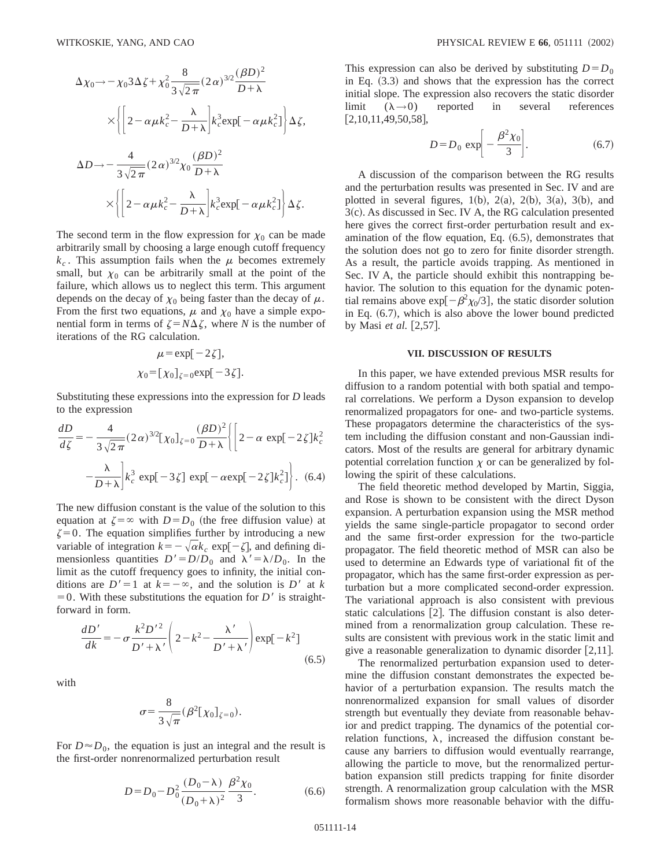$$
\Delta \chi_0 \to -\chi_0 3 \Delta \zeta + \chi_0^2 \frac{8}{3\sqrt{2\pi}} (2\alpha)^{3/2} \frac{(\beta D)^2}{D+\lambda}
$$
  

$$
\times \left\{ \left[ 2 - \alpha \mu k_c^2 - \frac{\lambda}{D+\lambda} \right] k_c^3 \exp[-\alpha \mu k_c^2] \right\} \Delta \zeta,
$$
  

$$
\Delta D \to -\frac{4}{3\sqrt{2\pi}} (2\alpha)^{3/2} \chi_0 \frac{(\beta D)^2}{D+\lambda}
$$
  

$$
\times \left\{ \left[ 2 - \alpha \mu k_c^2 - \frac{\lambda}{D+\lambda} \right] k_c^3 \exp[-\alpha \mu k_c^2] \right\} \Delta \zeta.
$$

The second term in the flow expression for  $\chi_0$  can be made arbitrarily small by choosing a large enough cutoff frequency  $k_c$ . This assumption fails when the  $\mu$  becomes extremely small, but  $\chi_0$  can be arbitrarily small at the point of the failure, which allows us to neglect this term. This argument depends on the decay of  $\chi_0$  being faster than the decay of  $\mu$ . From the first two equations,  $\mu$  and  $\chi_0$  have a simple exponential form in terms of  $\zeta = N\Delta\zeta$ , where *N* is the number of iterations of the RG calculation.

$$
\mu = \exp[-2\zeta],
$$
  

$$
\chi_0 = [\chi_0]_{\zeta = 0} \exp[-3\zeta].
$$

Substituting these expressions into the expression for *D* leads to the expression

$$
\frac{dD}{d\zeta} = -\frac{4}{3\sqrt{2\pi}} (2\alpha)^{3/2} [\chi_0]_{\zeta=0} \frac{(\beta D)^2}{D+\lambda} \left\{ \left[ 2 - \alpha \exp[-2\zeta]k_c^2 - \frac{\lambda}{D+\lambda} \right] k_c^3 \exp[-3\zeta] \exp[-\alpha \exp[-2\zeta]k_c^2] \right\}.
$$
 (6.4)

The new diffusion constant is the value of the solution to this equation at  $\zeta = \infty$  with *D*=*D*<sub>0</sub> (the free diffusion value) at  $\zeta=0$ . The equation simplifies further by introducing a new variable of integration  $k=-\sqrt{\alpha k_c}$  exp $[-\zeta]$ , and defining dimensionless quantities  $D' = D/D_0$  and  $\lambda' = \lambda/D_0$ . In the limit as the cutoff frequency goes to infinity, the initial conditions are  $D' = 1$  at  $k = -\infty$ , and the solution is  $D'$  at *k*  $=0$ . With these substitutions the equation for *D'* is straightforward in form.

$$
\frac{dD'}{dk} = -\sigma \frac{k^2 D'^2}{D' + \lambda'} \left( 2 - k^2 - \frac{\lambda'}{D' + \lambda'} \right) \exp[-k^2]
$$
\n(6.5)

with

$$
\sigma = \frac{8}{3\sqrt{\pi}} (\beta^2 [\chi_0]_{\zeta=0}).
$$

For  $D \approx D_0$ , the equation is just an integral and the result is the first-order nonrenormalized perturbation result

$$
D = D_0 - D_0^2 \frac{(D_0 - \lambda)}{(D_0 + \lambda)^2} \frac{\beta^2 \chi_0}{3}.
$$
 (6.6)

This expression can also be derived by substituting  $D = D_0$ in Eq.  $(3.3)$  and shows that the expression has the correct initial slope. The expression also recovers the static disorder limit  $(\lambda \rightarrow 0)$  reported in several references  $[2,10,11,49,50,58]$ ,

$$
D = D_0 \exp\left[-\frac{\beta^2 \chi_0}{3}\right].
$$
 (6.7)

A discussion of the comparison between the RG results and the perturbation results was presented in Sec. IV and are plotted in several figures,  $1(b)$ ,  $2(a)$ ,  $2(b)$ ,  $3(a)$ ,  $3(b)$ , and  $3(c)$ . As discussed in Sec. IV A, the RG calculation presented here gives the correct first-order perturbation result and examination of the flow equation, Eq.  $(6.5)$ , demonstrates that the solution does not go to zero for finite disorder strength. As a result, the particle avoids trapping. As mentioned in Sec. IV A, the particle should exhibit this nontrapping behavior. The solution to this equation for the dynamic potential remains above  $\exp[-\beta^2\chi_0/3]$ , the static disorder solution in Eq.  $(6.7)$ , which is also above the lower bound predicted by Masi *et al.* [2,57].

### **VII. DISCUSSION OF RESULTS**

In this paper, we have extended previous MSR results for diffusion to a random potential with both spatial and temporal correlations. We perform a Dyson expansion to develop renormalized propagators for one- and two-particle systems. These propagators determine the characteristics of the system including the diffusion constant and non-Gaussian indicators. Most of the results are general for arbitrary dynamic potential correlation function  $\chi$  or can be generalized by following the spirit of these calculations.

The field theoretic method developed by Martin, Siggia, and Rose is shown to be consistent with the direct Dyson expansion. A perturbation expansion using the MSR method yields the same single-particle propagator to second order and the same first-order expression for the two-particle propagator. The field theoretic method of MSR can also be used to determine an Edwards type of variational fit of the propagator, which has the same first-order expression as perturbation but a more complicated second-order expression. The variational approach is also consistent with previous static calculations  $[2]$ . The diffusion constant is also determined from a renormalization group calculation. These results are consistent with previous work in the static limit and give a reasonable generalization to dynamic disorder  $[2,11]$ .

The renormalized perturbation expansion used to determine the diffusion constant demonstrates the expected behavior of a perturbation expansion. The results match the nonrenormalized expansion for small values of disorder strength but eventually they deviate from reasonable behavior and predict trapping. The dynamics of the potential correlation functions,  $\lambda$ , increased the diffusion constant because any barriers to diffusion would eventually rearrange, allowing the particle to move, but the renormalized perturbation expansion still predicts trapping for finite disorder strength. A renormalization group calculation with the MSR formalism shows more reasonable behavior with the diffu